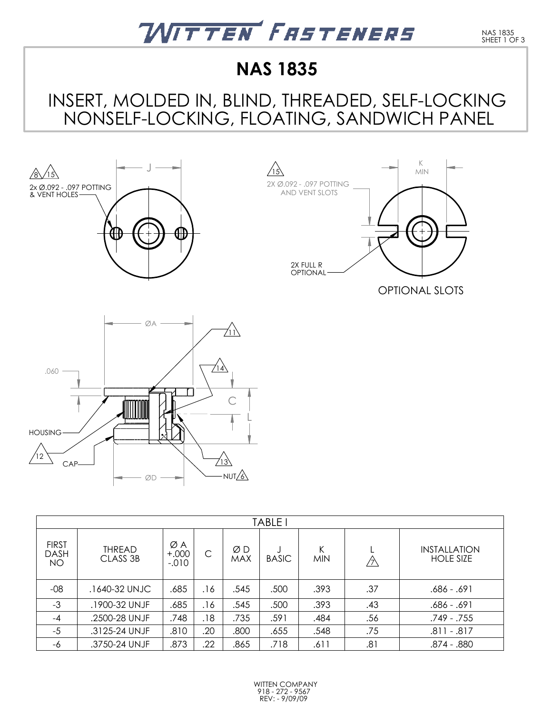

## **NAS 1835**

### INSERT, MOLDED IN, BLIND, THREADED, SELF-LOCKING NONSELF-LOCKING, FLOATING, SANDWICH PANEL







| <b>TABLE</b>                             |                           |                            |     |                  |              |                 |     |                                         |
|------------------------------------------|---------------------------|----------------------------|-----|------------------|--------------|-----------------|-----|-----------------------------------------|
| <b>FIRST</b><br><b>DASH</b><br><b>NO</b> | <b>THREAD</b><br>CLASS 3B | ØΑ<br>$+.000 +$<br>$-.010$ | C   | ØΒ<br><b>MAX</b> | <b>BASIC</b> | Κ<br><b>MIN</b> | ク   | <b>INSTALLATION</b><br><b>HOLE SIZE</b> |
| $-08$                                    | .1640-32 UNJC             | .685                       | .16 | .545             | .500         | .393            | .37 | .686 - .691                             |
| $-3$                                     | .1900-32 UNJF             | .685                       | .16 | .545             | .500         | .393            | .43 | .686 - .691                             |
| $-4$                                     | .2500-28 UNJF             | .748                       | .18 | .735             | .591         | .484            | .56 | .749 - .755                             |
| $-5$                                     | .3125-24 UNJF             | .810                       | .20 | .800             | .655         | .548            | .75 | .811 - .817                             |
| -6                                       | .3750-24 UNJF             | .873                       | .22 | .865             | .718         | .611            | .81 | .874 - .880                             |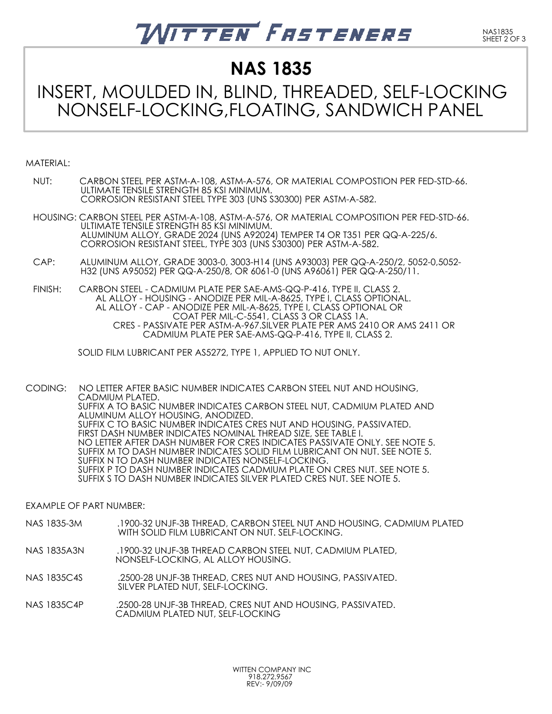# ITTEN FASTENERS

**NAS 1835**

### INSERT, MOULDED IN, BLIND, THREADED, SELF-LOCKING NONSELF-LOCKING,FLOATING, SANDWICH PANEL

#### MATERIAL:

- NUT: CARBON STEEL PER ASTM-A-108, ASTM-A-576, OR MATERIAL COMPOSTION PER FED-STD-66. ULTIMATE TENSILE STRENGTH 85 KSI MINIMUM. CORROSION RESISTANT STEEL TYPE 303 (UNS S30300) PER ASTM-A-582.
- HOUSING: CARBON STEEL PER ASTM-A-108, ASTM-A-576, OR MATERIAL COMPOSITION PER FED-STD-66. ULTIMATE TENSILE STRENGTH 85 KSI MINIMUM. ALUMINUM ALLOY, GRADE 2024 (UNS A92024) TEMPER T4 OR T351 PER QQ-A-225/6. CORROSION RESISTANT STEEL, TYPE 303 (UNS S30300) PER ASTM-A-582.
- CAP: ALUMINUM ALLOY, GRADE 3003-0, 3003-H14 (UNS A93003) PER QQ-A-250/2, 5052-0,5052- H32 (UNS A95052) PER QQ-A-250/8, OR 6061-0 (UNS A96061) PER QQ-A-250/11.
- FINISH: CARBON STEEL CADMIUM PLATE PER SAE-AMS-QQ-P-416, TYPE II, CLASS 2. AL ALLOY - HOUSING - ANODIZE PER MIL-A-8625, TYPE I, CLASS OPTIONAL. AL ALLOY - CAP - ANODIZE PER MIL-A-8625, TYPE I, CLASS OPTIONAL OR COAT PER MIL-C-5541, CLASS 3 OR CLASS 1A. CRES - PASSIVATE PER ASTM-A-967.SILVER PLATE PER AMS 2410 OR AMS 2411 OR CADMIUM PLATE PER SAE-AMS-QQ-P-416, TYPE II, CLASS 2.

SOLID FILM LUBRICANT PER AS5272, TYPE 1, APPLIED TO NUT ONLY.

CODING: NO LETTER AFTER BASIC NUMBER INDICATES CARBON STEEL NUT AND HOUSING, CADMIUM PLATED. SUFFIX A TO BASIC NUMBER INDICATES CARBON STEEL NUT, CADMIUM PLATED AND ALUMINUM ALLOY HOUSING, ANODIZED. SUFFIX C TO BASIC NUMBER INDICATES CRES NUT AND HOUSING, PASSIVATED. FIRST DASH NUMBER INDICATES NOMINAL THREAD SIZE, SEE TABLE I. NO LETTER AFTER DASH NUMBER FOR CRES INDICATES PASSIVATE ONLY. SEE NOTE 5. SUFFIX M TO DASH NUMBER INDICATES SOLID FILM LUBRICANT ON NUT. SEE NOTE 5. SUFFIX N TO DASH NUMBER INDICATES NONSELF-LOCKING. SUFFIX P TO DASH NUMBER INDICATES CADMIUM PLATE ON CRES NUT. SEE NOTE 5. SUFFIX S TO DASH NUMBER INDICATES SILVER PLATED CRES NUT. SEE NOTE 5.

EXAMPLE OF PART NUMBER:

- NAS 1835-3M .1900-32 UNJF-3B THREAD, CARBON STEEL NUT AND HOUSING, CADMIUM PLATED WITH SOLID FILM LUBRICANT ON NUT. SELF-LOCKING.
- NAS 1835A3N .1900-32 UNJF-3B THREAD CARBON STEEL NUT, CADMIUM PLATED, NONSELF-LOCKING, AL ALLOY HOUSING.
- NAS 1835C4S .2500-28 UNJF-3B THREAD, CRES NUT AND HOUSING, PASSIVATED. SILVER PLATED NUT, SELF-LOCKING.
- NAS 1835C4P .2500-28 UNJF-3B THREAD, CRES NUT AND HOUSING, PASSIVATED. CADMIUM PLATED NUT, SELF-LOCKING